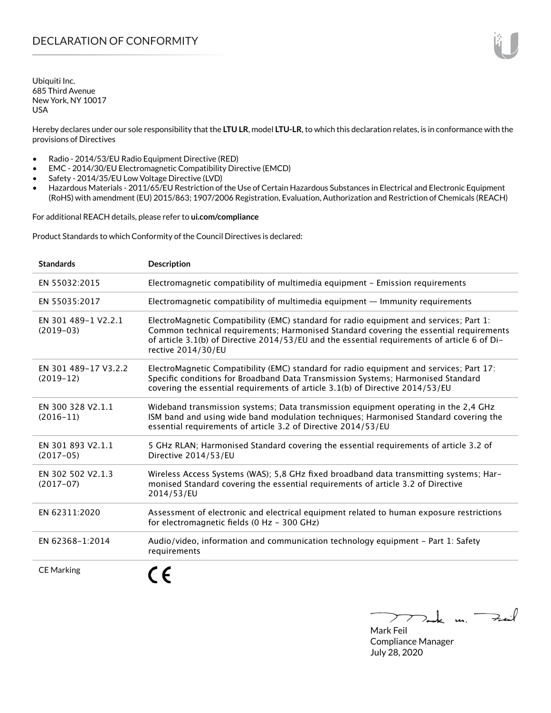Ubiquiti Inc. 685 Third Avenue New York, NY 10017 USA

Hereby declares under our sole responsibility that the **LTU LR**, model **LTU-LR**, to which this declaration relates, is in conformance with the provisions of Directives

- Radio 2014/53/EU Radio Equipment Directive (RED)
- EMC 2014/30/EU Electromagnetic Compatibility Directive (EMCD)
- Safety 2014/35/EU Low Voltage Directive (LVD)
- Hazardous Materials 2011/65/EU Restriction of the Use of Certain Hazardous Substances in Electrical and Electronic Equipment (RoHS) with amendment (EU) 2015/863; 1907/2006 Registration, Evaluation, Authorization and Restriction of Chemicals (REACH)

For additional REACH details, please refer to **<ui.com/compliance>**

Product Standards to which Conformity of the Council Directives is declared:

| <b>Standards</b>                    | <b>Description</b>                                                                                                                                                                                                                                                                                     |
|-------------------------------------|--------------------------------------------------------------------------------------------------------------------------------------------------------------------------------------------------------------------------------------------------------------------------------------------------------|
| EN 55032:2015                       | Electromagnetic compatibility of multimedia equipment - Emission requirements                                                                                                                                                                                                                          |
| EN 55035:2017                       | Electromagnetic compatibility of multimedia equipment - Immunity requirements                                                                                                                                                                                                                          |
| EN 301 489-1 V2.2.1<br>$(2019-03)$  | ElectroMagnetic Compatibility (EMC) standard for radio equipment and services; Part 1:<br>Common technical requirements; Harmonised Standard covering the essential requirements<br>of article 3.1(b) of Directive 2014/53/EU and the essential requirements of article 6 of Di-<br>rective 2014/30/EU |
| EN 301 489-17 V3.2.2<br>$(2019-12)$ | ElectroMagnetic Compatibility (EMC) standard for radio equipment and services; Part 17:<br>Specific conditions for Broadband Data Transmission Systems; Harmonised Standard<br>covering the essential requirements of article 3.1(b) of Directive 2014/53/EU                                           |
| EN 300 328 V2.1.1<br>$(2016 - 11)$  | Wideband transmission systems; Data transmission equipment operating in the 2,4 GHz<br>ISM band and using wide band modulation techniques; Harmonised Standard covering the<br>essential requirements of article 3.2 of Directive 2014/53/EU                                                           |
| EN 301 893 V2.1.1<br>$(2017-05)$    | 5 GHz RLAN; Harmonised Standard covering the essential requirements of article 3.2 of<br>Directive 2014/53/EU                                                                                                                                                                                          |
| EN 302 502 V2.1.3<br>$(2017-07)$    | Wireless Access Systems (WAS); 5,8 GHz fixed broadband data transmitting systems; Har-<br>monised Standard covering the essential requirements of article 3.2 of Directive<br>2014/53/EU                                                                                                               |
| EN 62311:2020                       | Assessment of electronic and electrical equipment related to human exposure restrictions<br>for electromagnetic fields (0 Hz - 300 GHz)                                                                                                                                                                |
| EN 62368-1:2014                     | Audio/video, information and communication technology equipment - Part 1: Safety<br>requirements                                                                                                                                                                                                       |
| <b>CE Marking</b>                   |                                                                                                                                                                                                                                                                                                        |

Tak m. Fail

Mark Feil Compliance Manager July 28, 2020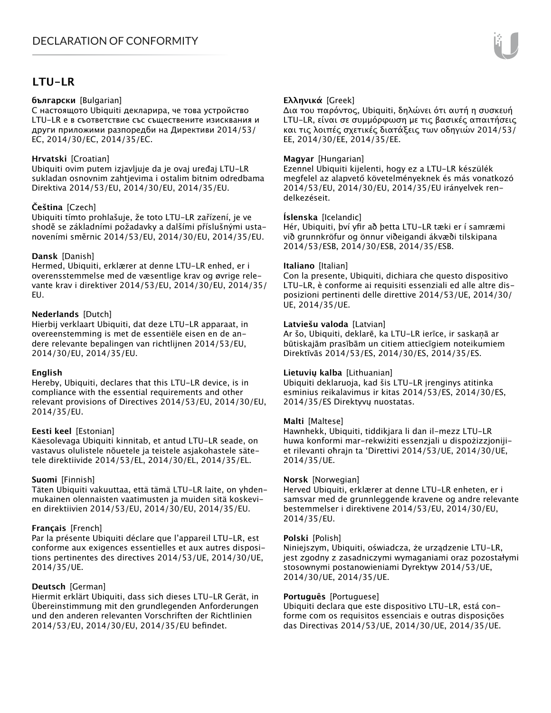# **LTU-LR**

## **български** [Bulgarian]

С настоящото Ubiquiti декларира, че това устройство LTU-LR е в съответствие със съществените изисквания и други приложими разпоредби на Директиви 2014/53/ EC, 2014/30/ЕС, 2014/35/ЕС.

## **Hrvatski** [Croatian]

Ubiquiti ovim putem izjavljuje da je ovaj uređaj LTU-LR sukladan osnovnim zahtjevima i ostalim bitnim odredbama Direktiva 2014/53/EU, 2014/30/EU, 2014/35/EU.

# **Čeština** [Czech]

Ubiquiti tímto prohlašuje, že toto LTU-LR zařízení, je ve shodě se základními požadavky a dalšími příslušnými ustanoveními směrnic 2014/53/EU, 2014/30/EU, 2014/35/EU.

# **Dansk** [Danish]

Hermed, Ubiquiti, erklærer at denne LTU-LR enhed, er i overensstemmelse med de væsentlige krav og øvrige relevante krav i direktiver 2014/53/EU, 2014/30/EU, 2014/35/ EU.

# **Nederlands** [Dutch]

Hierbij verklaart Ubiquiti, dat deze LTU-LR apparaat, in overeenstemming is met de essentiële eisen en de andere relevante bepalingen van richtlijnen 2014/53/EU, 2014/30/EU, 2014/35/EU.

## **English**

Hereby, Ubiquiti, declares that this LTU-LR device, is in compliance with the essential requirements and other relevant provisions of Directives 2014/53/EU, 2014/30/EU, 2014/35/EU.

## **Eesti keel** [Estonian]

Käesolevaga Ubiquiti kinnitab, et antud LTU-LR seade, on vastavus olulistele nõuetele ja teistele asjakohastele sätetele direktiivide 2014/53/EL, 2014/30/EL, 2014/35/EL.

## **Suomi** [Finnish]

Täten Ubiquiti vakuuttaa, että tämä LTU-LR laite, on yhdenmukainen olennaisten vaatimusten ja muiden sitä koskevien direktiivien 2014/53/EU, 2014/30/EU, 2014/35/EU.

## **Français** [French]

Par la présente Ubiquiti déclare que l'appareil LTU-LR, est conforme aux exigences essentielles et aux autres dispositions pertinentes des directives 2014/53/UE, 2014/30/UE, 2014/35/UE.

## **Deutsch** [German]

Hiermit erklärt Ubiquiti, dass sich dieses LTU-LR Gerät, in Übereinstimmung mit den grundlegenden Anforderungen und den anderen relevanten Vorschriften der Richtlinien 2014/53/EU, 2014/30/EU, 2014/35/EU befindet.

# **Ελληνικά** [Greek]

Δια του παρόντος, Ubiquiti, δηλώνει ότι αυτή η συσκευή LTU-LR, είναι σε συμμόρφωση με τις βασικές απαιτήσεις και τις λοιπές σχετικές διατάξεις των οδηγιών 2014/53/ EE, 2014/30/EE, 2014/35/EE.

## **Magyar** [Hungarian]

Ezennel Ubiquiti kijelenti, hogy ez a LTU-LR készülék megfelel az alapvető követelményeknek és más vonatkozó 2014/53/EU, 2014/30/EU, 2014/35/EU irányelvek rendelkezéseit.

## **Íslenska** [Icelandic]

Hér, Ubiquiti, því yfir að þetta LTU-LR tæki er í samræmi við grunnkröfur og önnur viðeigandi ákvæði tilskipana 2014/53/ESB, 2014/30/ESB, 2014/35/ESB.

## **Italiano** [Italian]

Con la presente, Ubiquiti, dichiara che questo dispositivo LTU-LR, è conforme ai requisiti essenziali ed alle altre disposizioni pertinenti delle direttive 2014/53/UE, 2014/30/ UE, 2014/35/UE.

## **Latviešu valoda** [Latvian]

Ar šo, Ubiquiti, deklarē, ka LTU-LR ierīce, ir saskaņā ar būtiskajām prasībām un citiem attiecīgiem noteikumiem Direktīvās 2014/53/ES, 2014/30/ES, 2014/35/ES.

## **Lietuvių kalba** [Lithuanian]

Ubiquiti deklaruoja, kad šis LTU-LR įrenginys atitinka esminius reikalavimus ir kitas 2014/53/ES, 2014/30/ES, 2014/35/ES Direktyvų nuostatas.

## **Malti** [Maltese]

Hawnhekk, Ubiquiti, tiddikjara li dan il-mezz LTU-LR huwa konformi mar-rekwiżiti essenzjali u dispożizzjonijiet rilevanti oħrajn ta 'Direttivi 2014/53/UE, 2014/30/UE, 2014/35/UE.

## **Norsk** [Norwegian]

Herved Ubiquiti, erklærer at denne LTU-LR enheten, er i samsvar med de grunnleggende kravene og andre relevante bestemmelser i direktivene 2014/53/EU, 2014/30/EU, 2014/35/EU.

## **Polski** [Polish]

Niniejszym, Ubiquiti, oświadcza, że urządzenie LTU-LR, jest zgodny z zasadniczymi wymaganiami oraz pozostałymi stosownymi postanowieniami Dyrektyw 2014/53/UE, 2014/30/UE, 2014/35/UE.

## **Português** [Portuguese]

Ubiquiti declara que este dispositivo LTU-LR, está conforme com os requisitos essenciais e outras disposições das Directivas 2014/53/UE, 2014/30/UE, 2014/35/UE.